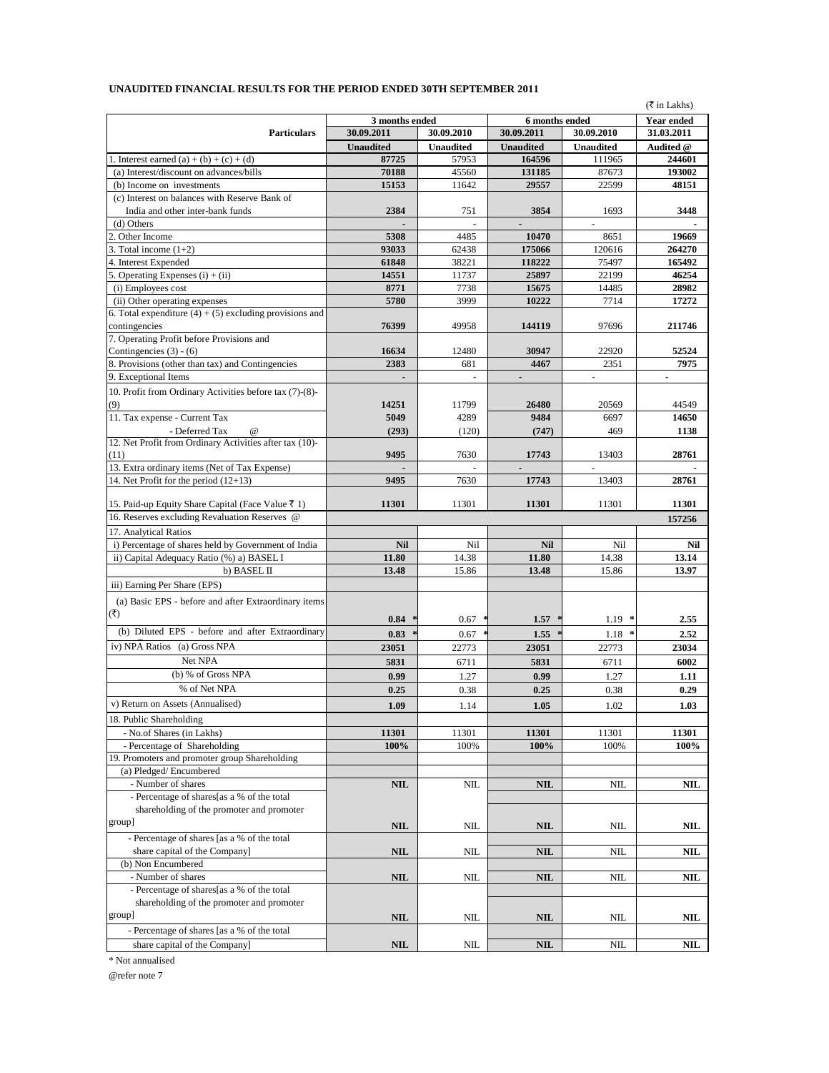|                                                            |                          |                  |                          |                          | (₹ in Lakhs)     |
|------------------------------------------------------------|--------------------------|------------------|--------------------------|--------------------------|------------------|
|                                                            | 3 months ended           |                  | 6 months ended           |                          | Year ended       |
| <b>Particulars</b>                                         | 30.09.2011               | 30.09.2010       | 30.09.2011               | 30.09.2010               | 31.03.2011       |
|                                                            | <b>Unaudited</b>         | <b>Unaudited</b> | <b>Unaudited</b>         | <b>Unaudited</b>         | Audited @        |
| 1. Interest earned (a) + (b) + (c) + (d)                   | 87725                    | 57953            | 164596                   | 111965                   | 244601           |
| (a) Interest/discount on advances/bills                    | 70188                    | 45560            | 131185                   | 87673                    | 193002           |
| (b) Income on investments                                  | 15153                    | 11642            | 29557                    | 22599                    | 48151            |
| (c) Interest on balances with Reserve Bank of              |                          |                  |                          |                          |                  |
| India and other inter-bank funds                           | 2384                     | 751              | 3854                     | 1693                     | 3448             |
| (d) Others<br>2. Other Income                              |                          |                  |                          |                          |                  |
|                                                            | 5308                     | 4485             | 10470                    | 8651                     | 19669            |
| 3. Total income $(1+2)$                                    | 93033<br>61848           | 62438<br>38221   | 175066<br>118222         | 120616<br>75497          | 264270<br>165492 |
| 4. Interest Expended<br>5. Operating Expenses $(i) + (ii)$ | 14551                    | 11737            | 25897                    | 22199                    | 46254            |
| (i) Employees cost                                         | 8771                     | 7738             | 15675                    | 14485                    | 28982            |
| (ii) Other operating expenses                              | 5780                     | 3999             | 10222                    | 7714                     | 17272            |
| 6. Total expenditure $(4) + (5)$ excluding provisions and  |                          |                  |                          |                          |                  |
| contingencies                                              | 76399                    | 49958            | 144119                   | 97696                    | 211746           |
| 7. Operating Profit before Provisions and                  |                          |                  |                          |                          |                  |
| Contingencies $(3) - (6)$                                  | 16634                    | 12480            | 30947                    | 22920                    | 52524            |
| 8. Provisions (other than tax) and Contingencies           | 2383                     | 681              | 4467                     | 2351                     | 7975             |
| 9. Exceptional Items                                       | $\overline{\phantom{0}}$ |                  | $\overline{\phantom{a}}$ | $\overline{\phantom{a}}$ | ٠                |
| 10. Profit from Ordinary Activities before tax (7)-(8)-    |                          |                  |                          |                          |                  |
| (9)                                                        | 14251                    | 11799            | 26480                    | 20569                    | 44549            |
| 11. Tax expense - Current Tax                              | 5049                     | 4289             | 9484                     | 6697                     | 14650            |
| - Deferred Tax<br>$^{\circ}$                               | (293)                    | (120)            | (747)                    | 469                      | 1138             |
| 12. Net Profit from Ordinary Activities after tax (10)-    |                          |                  |                          |                          |                  |
| (11)                                                       | 9495                     | 7630             | 17743                    | 13403                    | 28761            |
| 13. Extra ordinary items (Net of Tax Expense)              |                          |                  |                          |                          |                  |
| 14. Net Profit for the period $(12+13)$                    | 9495                     | 7630             | 17743                    | 13403                    | 28761            |
|                                                            |                          |                  |                          |                          |                  |
| 15. Paid-up Equity Share Capital (Face Value ₹ 1)          | 11301                    | 11301            | 11301                    | 11301                    | 11301            |
| 16. Reserves excluding Revaluation Reserves @              |                          |                  |                          |                          | 157256           |
| 17. Analytical Ratios                                      |                          |                  |                          |                          |                  |
| i) Percentage of shares held by Government of India        | <b>Nil</b>               | Nil              | <b>Nil</b>               | Nil                      | Nil              |
| ii) Capital Adequacy Ratio (%) a) BASEL I                  | 11.80                    | 14.38            | 11.80                    | 14.38                    | 13.14            |
| b) BASEL II                                                | 13.48                    | 15.86            | 13.48                    | 15.86                    | 13.97            |
| iii) Earning Per Share (EPS)                               |                          |                  |                          |                          |                  |
| (a) Basic EPS - before and after Extraordinary items       |                          |                  |                          |                          |                  |
| (₹)                                                        | 0.84                     |                  | 1.57                     | 1.19                     | 2.55             |
| (b) Diluted EPS - before and after Extraordinary           |                          | 0.67             |                          |                          |                  |
|                                                            | 0.83                     | 0.67             | 1.55                     | 1.18                     | 2.52             |
| iv) NPA Ratios (a) Gross NPA                               | 23051                    | 22773            | 23051                    | 22773                    | 23034            |
| Net NPA                                                    | 5831                     | 6711             | 5831                     | 6711                     | 6002             |
| (b) % of Gross NPA                                         | 0.99                     | 1.27             | 0.99                     | 1.27                     | 1.11             |
| % of Net NPA                                               | 0.25                     | 0.38             | 0.25                     | 0.38                     | 0.29             |
| v) Return on Assets (Annualised)                           | 1.09                     | 1.14             | 1.05                     | 1.02                     | 1.03             |
| 18. Public Shareholding                                    |                          |                  |                          |                          |                  |
| - No.of Shares (in Lakhs)                                  | 11301                    | 11301            | 11301                    | 11301                    | 11301            |
| - Percentage of Shareholding                               | 100%                     | 100%             | 100%                     | 100%                     | 100%             |
| 19. Promoters and promoter group Shareholding              |                          |                  |                          |                          |                  |
| (a) Pledged/Encumbered                                     |                          |                  |                          |                          |                  |
| - Number of shares                                         | <b>NIL</b>               | <b>NIL</b>       | <b>NIL</b>               | <b>NIL</b>               | NIL              |
| - Percentage of shares[as a % of the total                 |                          |                  |                          |                          |                  |
| shareholding of the promoter and promoter                  |                          |                  |                          |                          |                  |
| group]                                                     | <b>NIL</b>               | NIL              | <b>NIL</b>               | <b>NIL</b>               | NIL              |
| - Percentage of shares [as a % of the total                |                          |                  |                          |                          |                  |
| share capital of the Company]                              | <b>NIL</b>               | NIL              | <b>NIL</b>               | NIL                      | NIL              |
| (b) Non Encumbered                                         |                          |                  |                          |                          |                  |
| - Number of shares                                         | <b>NIL</b>               | NIL              | <b>NIL</b>               | <b>NIL</b>               | NIL              |
| - Percentage of shares[as a % of the total                 |                          |                  |                          |                          |                  |
| shareholding of the promoter and promoter                  |                          |                  |                          |                          |                  |
| group]                                                     | <b>NIL</b>               | NIL              | <b>NIL</b>               | NIL                      | NIL              |
| - Percentage of shares [as a % of the total                |                          |                  |                          |                          |                  |
| share capital of the Company]                              | NIL                      | NIL              | <b>NIL</b>               | NIL                      | NIL              |

## **UNAUDITED FINANCIAL RESULTS FOR THE PERIOD ENDED 30TH SEPTEMBER 2011**

 $^\ast$  Not annualised

@refer note 7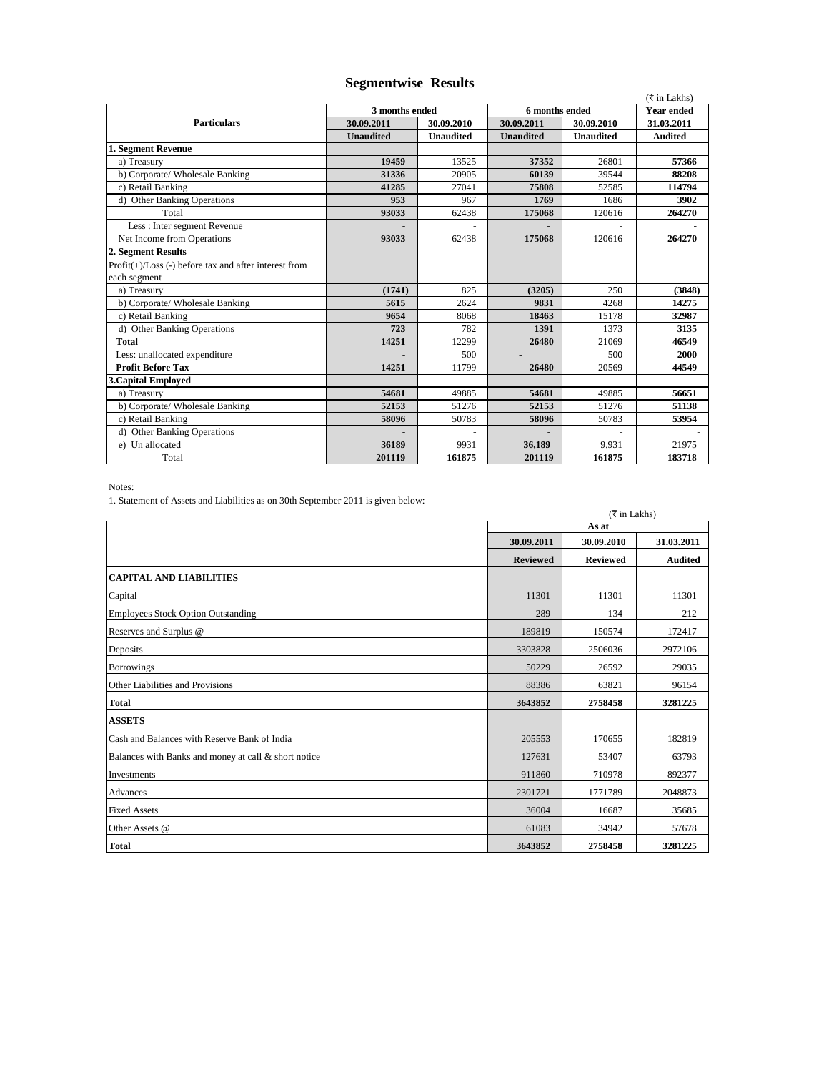|                                                          |                  |                  |                  |                   | ( ₹ in Lakhs)  |
|----------------------------------------------------------|------------------|------------------|------------------|-------------------|----------------|
| 3 months ended                                           |                  | 6 months ended   |                  | <b>Year ended</b> |                |
| <b>Particulars</b>                                       | 30.09.2011       | 30.09.2010       | 30.09.2011       | 30.09.2010        | 31.03.2011     |
|                                                          | <b>Unaudited</b> | <b>Unaudited</b> | <b>Unaudited</b> | <b>Unaudited</b>  | <b>Audited</b> |
| 1. Segment Revenue                                       |                  |                  |                  |                   |                |
| a) Treasury                                              | 19459            | 13525            | 37352            | 26801             | 57366          |
| b) Corporate/ Wholesale Banking                          | 31336            | 20905            | 60139            | 39544             | 88208          |
| c) Retail Banking                                        | 41285            | 27041            | 75808            | 52585             | 114794         |
| d) Other Banking Operations                              | 953              | 967              | 1769             | 1686              | 3902           |
| Total                                                    | 93033            | 62438            | 175068           | 120616            | 264270         |
| Less : Inter segment Revenue                             |                  |                  |                  |                   |                |
| Net Income from Operations                               | 93033            | 62438            | 175068           | 120616            | 264270         |
| 2. Segment Results                                       |                  |                  |                  |                   |                |
| $Profit(+) / Loss(-) before tax and after interest from$ |                  |                  |                  |                   |                |
| each segment                                             |                  |                  |                  |                   |                |
| a) Treasury                                              | (1741)           | 825              | (3205)           | 250               | (3848)         |
| b) Corporate/ Wholesale Banking                          | 5615             | 2624             | 9831             | 4268              | 14275          |
| c) Retail Banking                                        | 9654             | 8068             | 18463            | 15178             | 32987          |
| d) Other Banking Operations                              | 723              | 782              | 1391             | 1373              | 3135           |
| <b>Total</b>                                             | 14251            | 12299            | 26480            | 21069             | 46549          |
| Less: unallocated expenditure                            |                  | 500              | $\blacksquare$   | 500               | 2000           |
| <b>Profit Before Tax</b>                                 | 14251            | 11799            | 26480            | 20569             | 44549          |
| <b>3. Capital Employed</b>                               |                  |                  |                  |                   |                |
| a) Treasury                                              | 54681            | 49885            | 54681            | 49885             | 56651          |
| b) Corporate/ Wholesale Banking                          | 52153            | 51276            | 52153            | 51276             | 51138          |
| c) Retail Banking                                        | 58096            | 50783            | 58096            | 50783             | 53954          |
| d) Other Banking Operations                              |                  |                  |                  |                   |                |
| e) Un allocated                                          | 36189            | 9931             | 36,189           | 9,931             | 21975          |
| Total                                                    | 201119           | 161875           | 201119           | 161875            | 183718         |

## **Segmentwise Results**

Notes:

1. Statement of Assets and Liabilities as on 30th September 2011 is given below:

|                                                      | (₹ in Lakhs)    |                 |                |  |
|------------------------------------------------------|-----------------|-----------------|----------------|--|
|                                                      |                 | As at           |                |  |
|                                                      | 30.09.2011      | 30.09.2010      | 31.03.2011     |  |
|                                                      | <b>Reviewed</b> | <b>Reviewed</b> | <b>Audited</b> |  |
| <b>CAPITAL AND LIABILITIES</b>                       |                 |                 |                |  |
| Capital                                              | 11301           | 11301           | 11301          |  |
| <b>Employees Stock Option Outstanding</b>            | 289             | 134             | 212            |  |
| Reserves and Surplus @                               | 189819          | 150574          | 172417         |  |
| Deposits                                             | 3303828         | 2506036         | 2972106        |  |
| <b>Borrowings</b>                                    | 50229           | 26592           | 29035          |  |
| Other Liabilities and Provisions                     | 88386           | 63821           | 96154          |  |
| <b>Total</b>                                         | 3643852         | 2758458         | 3281225        |  |
| <b>ASSETS</b>                                        |                 |                 |                |  |
| Cash and Balances with Reserve Bank of India         | 205553          | 170655          | 182819         |  |
| Balances with Banks and money at call & short notice | 127631          | 53407           | 63793          |  |
| Investments                                          | 911860          | 710978          | 892377         |  |
| Advances                                             | 2301721         | 1771789         | 2048873        |  |
| <b>Fixed Assets</b>                                  | 36004           | 16687           | 35685          |  |
| Other Assets @                                       | 61083           | 34942           | 57678          |  |
| <b>Total</b>                                         | 3643852         | 2758458         | 3281225        |  |